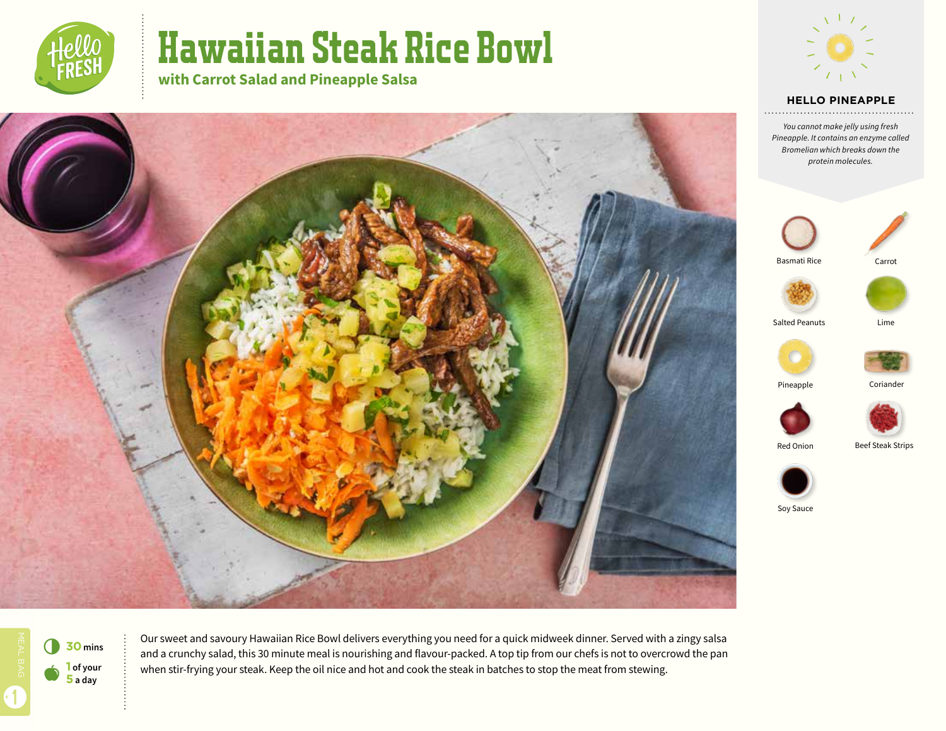

# Hawaiian Steak Rice Bowl

**with Carrot Salad and Pineapple Salsa**



#### **HELLO PINEAPPLE**

*You cannot make jelly using fresh Pineapple. It contains an enzyme called Bromelian which breaks down the protein molecules.*



Basmati Rice





Salted Peanuts

Lime





Red Onion



Soy Sauce

 $\bullet$ 6 **<sup>30</sup> mins 1 of your 5 a day**

1



Pineapple Coriander